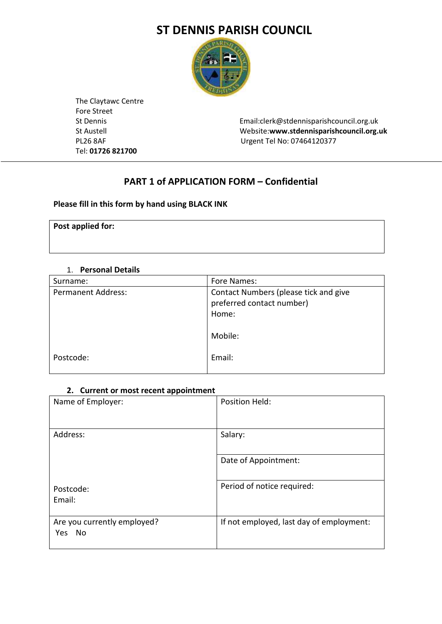# **ST DENNIS PARISH COUNCIL**



 The Claytawc Centre Fore Street Tel: **01726 821700** 

 St Dennis Email:clerk@stdennisparishcouncil.org.uk St Austell Website:**www.stdennisparishcouncil.org.uk** PL26 8AF Urgent Tel No: 07464120377

# **PART 1 of APPLICATION FORM – Confidential**

### **Please fill in this form by hand using BLACK INK**

**Post applied for:**

### 1. **Personal Details**

| Surname:                  | Fore Names:                                                                 |
|---------------------------|-----------------------------------------------------------------------------|
| <b>Permanent Address:</b> | Contact Numbers (please tick and give<br>preferred contact number)<br>Home: |
|                           | Mobile:                                                                     |
| Postcode:                 | Email:                                                                      |

## **2. Current or most recent appointment**

| Name of Employer:                        | Position Held:                           |
|------------------------------------------|------------------------------------------|
| Address:                                 | Salary:                                  |
|                                          | Date of Appointment:                     |
| Postcode:<br>Email:                      | Period of notice required:               |
| Are you currently employed?<br>Yes<br>No | If not employed, last day of employment: |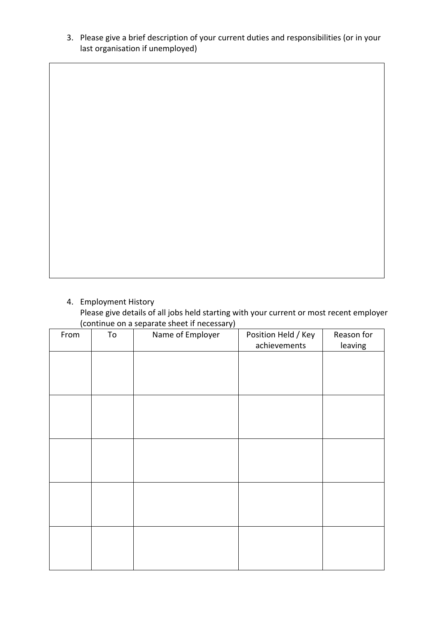3. Please give a brief description of your current duties and responsibilities (or in your last organisation if unemployed)

4. Employment History

Please give details of all jobs held starting with your current or most recent employer (continue on a separate sheet if necessary)

| $\mathbf{v}$<br>From | .<br>. <b>. .</b> .<br>To | Name of Employer | Position Held / Key | Reason for |
|----------------------|---------------------------|------------------|---------------------|------------|
|                      |                           |                  | achievements        | leaving    |
|                      |                           |                  |                     |            |
|                      |                           |                  |                     |            |
|                      |                           |                  |                     |            |
|                      |                           |                  |                     |            |
|                      |                           |                  |                     |            |
|                      |                           |                  |                     |            |
|                      |                           |                  |                     |            |
|                      |                           |                  |                     |            |
|                      |                           |                  |                     |            |
|                      |                           |                  |                     |            |
|                      |                           |                  |                     |            |
|                      |                           |                  |                     |            |
|                      |                           |                  |                     |            |
|                      |                           |                  |                     |            |
|                      |                           |                  |                     |            |
|                      |                           |                  |                     |            |
|                      |                           |                  |                     |            |
|                      |                           |                  |                     |            |
|                      |                           |                  |                     |            |
|                      |                           |                  |                     |            |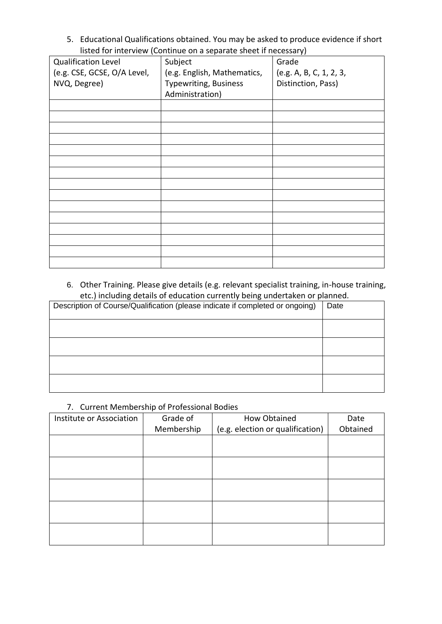5. Educational Qualifications obtained. You may be asked to produce evidence if short listed for interview (Continue on a separate sheet if necessary)

| <b>Qualification Level</b>  | Subject                      | . .<br>Grade            |
|-----------------------------|------------------------------|-------------------------|
| (e.g. CSE, GCSE, O/A Level, | (e.g. English, Mathematics,  | (e.g. A, B, C, 1, 2, 3, |
| NVQ, Degree)                | <b>Typewriting, Business</b> | Distinction, Pass)      |
|                             | Administration)              |                         |
|                             |                              |                         |
|                             |                              |                         |
|                             |                              |                         |
|                             |                              |                         |
|                             |                              |                         |
|                             |                              |                         |
|                             |                              |                         |
|                             |                              |                         |
|                             |                              |                         |
|                             |                              |                         |
|                             |                              |                         |
|                             |                              |                         |
|                             |                              |                         |
|                             |                              |                         |
|                             |                              |                         |
|                             |                              |                         |

6. Other Training. Please give details (e.g. relevant specialist training, in-house training, etc.) including details of education currently being undertaken or planned.

| Description of Course/Qualification (please indicate if completed or ongoing) | Date |
|-------------------------------------------------------------------------------|------|
|                                                                               |      |
|                                                                               |      |
|                                                                               |      |
|                                                                               |      |

### 7. Current Membership of Professional Bodies

| Institute or Association | Grade of   | How Obtained                     | Date     |
|--------------------------|------------|----------------------------------|----------|
|                          | Membership | (e.g. election or qualification) | Obtained |
|                          |            |                                  |          |
|                          |            |                                  |          |
|                          |            |                                  |          |
|                          |            |                                  |          |
|                          |            |                                  |          |
|                          |            |                                  |          |
|                          |            |                                  |          |
|                          |            |                                  |          |
|                          |            |                                  |          |
|                          |            |                                  |          |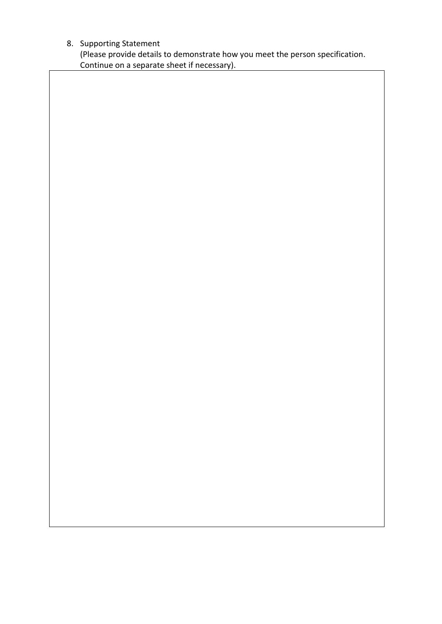# 8. Supporting Statement

(Please provide details to demonstrate how you meet the person specification. Continue on a separate sheet if necessary).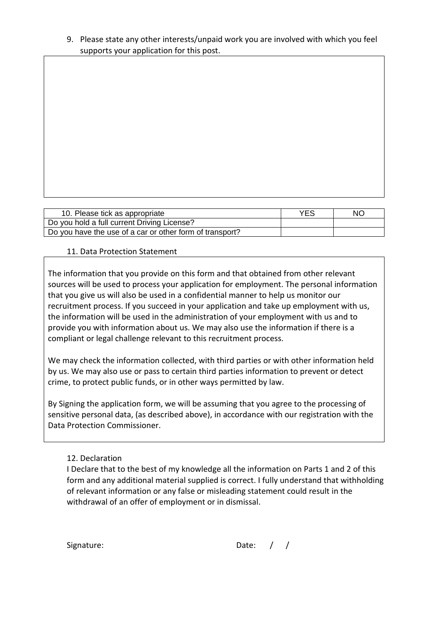9. Please state any other interests/unpaid work you are involved with which you feel supports your application for this post.

| 10. Please tick as appropriate                           | YES | NO. |
|----------------------------------------------------------|-----|-----|
| Do you hold a full current Driving License?              |     |     |
| Do you have the use of a car or other form of transport? |     |     |

## 11. Data Protection Statement

The information that you provide on this form and that obtained from other relevant sources will be used to process your application for employment. The personal information that you give us will also be used in a confidential manner to help us monitor our recruitment process. If you succeed in your application and take up employment with us, the information will be used in the administration of your employment with us and to provide you with information about us. We may also use the information if there is a compliant or legal challenge relevant to this recruitment process.

We may check the information collected, with third parties or with other information held by us. We may also use or pass to certain third parties information to prevent or detect crime, to protect public funds, or in other ways permitted by law.

By Signing the application form, we will be assuming that you agree to the processing of sensitive personal data, (as described above), in accordance with our registration with the Data Protection Commissioner.

### 12. Declaration

I Declare that to the best of my knowledge all the information on Parts 1 and 2 of this form and any additional material supplied is correct. I fully understand that withholding of relevant information or any false or misleading statement could result in the withdrawal of an offer of employment or in dismissal.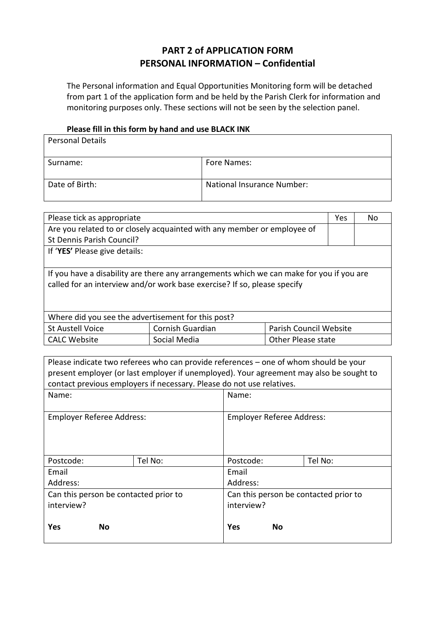# **PART 2 of APPLICATION FORM PERSONAL INFORMATION – Confidential**

The Personal information and Equal Opportunities Monitoring form will be detached from part 1 of the application form and be held by the Parish Clerk for information and monitoring purposes only. These sections will not be seen by the selection panel.

### **Please fill in this form by hand and use BLACK INK**

| <b>Personal Details</b> |                            |
|-------------------------|----------------------------|
| Surname:                | Fore Names:                |
| Date of Birth:          | National Insurance Number: |

| Please tick as appropriate                                                                                                                                           |                                                                         |                           | Yes | No. |
|----------------------------------------------------------------------------------------------------------------------------------------------------------------------|-------------------------------------------------------------------------|---------------------------|-----|-----|
|                                                                                                                                                                      | Are you related to or closely acquainted with any member or employee of |                           |     |     |
| St Dennis Parish Council?                                                                                                                                            |                                                                         |                           |     |     |
| If 'YES' Please give details:                                                                                                                                        |                                                                         |                           |     |     |
|                                                                                                                                                                      |                                                                         |                           |     |     |
| If you have a disability are there any arrangements which we can make for you if you are<br>called for an interview and/or work base exercise? If so, please specify |                                                                         |                           |     |     |
| Where did you see the advertisement for this post?                                                                                                                   |                                                                         |                           |     |     |
| <b>St Austell Voice</b>                                                                                                                                              | <b>Cornish Guardian</b>                                                 | Parish Council Website    |     |     |
| <b>CALC Website</b>                                                                                                                                                  | Social Media                                                            | <b>Other Please state</b> |     |     |

| Please indicate two referees who can provide references – one of whom should be your    |                                                                       |                                       |    |         |  |
|-----------------------------------------------------------------------------------------|-----------------------------------------------------------------------|---------------------------------------|----|---------|--|
| present employer (or last employer if unemployed). Your agreement may also be sought to |                                                                       |                                       |    |         |  |
|                                                                                         | contact previous employers if necessary. Please do not use relatives. |                                       |    |         |  |
| Name:                                                                                   |                                                                       | Name:                                 |    |         |  |
|                                                                                         |                                                                       |                                       |    |         |  |
| Employer Referee Address:                                                               |                                                                       | Employer Referee Address:             |    |         |  |
|                                                                                         |                                                                       |                                       |    |         |  |
|                                                                                         |                                                                       |                                       |    |         |  |
|                                                                                         |                                                                       |                                       |    |         |  |
| Postcode:                                                                               | Tel No:                                                               | Postcode:                             |    | Tel No: |  |
| Email                                                                                   |                                                                       | Email                                 |    |         |  |
| Address:                                                                                |                                                                       | Address:                              |    |         |  |
| Can this person be contacted prior to                                                   |                                                                       | Can this person be contacted prior to |    |         |  |
| interview?                                                                              |                                                                       | interview?                            |    |         |  |
|                                                                                         |                                                                       |                                       |    |         |  |
| Yes<br>No                                                                               |                                                                       | Yes                                   | No |         |  |
|                                                                                         |                                                                       |                                       |    |         |  |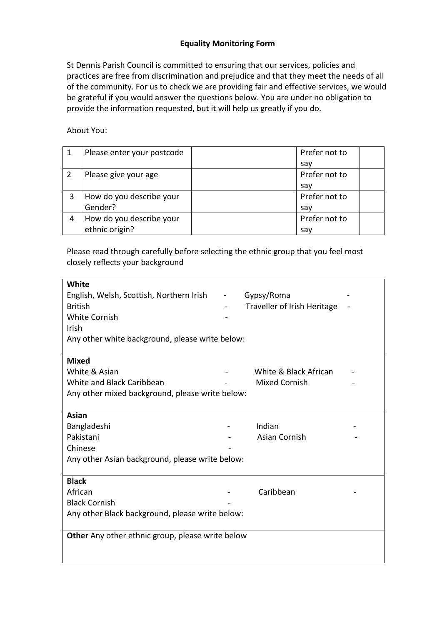## **Equality Monitoring Form**

St Dennis Parish Council is committed to ensuring that our services, policies and practices are free from discrimination and prejudice and that they meet the needs of all of the community. For us to check we are providing fair and effective services, we would be grateful if you would answer the questions below. You are under no obligation to provide the information requested, but it will help us greatly if you do.

About You:

| Please enter your postcode | Prefer not to |  |
|----------------------------|---------------|--|
|                            | sav           |  |
| Please give your age       | Prefer not to |  |
|                            | sav           |  |
| How do you describe your   | Prefer not to |  |
| Gender?                    | sav           |  |
| How do you describe your   | Prefer not to |  |
| ethnic origin?             | say           |  |

Please read through carefully before selecting the ethnic group that you feel most closely reflects your background

| <b>White</b>                                     |                |                             |  |
|--------------------------------------------------|----------------|-----------------------------|--|
| English, Welsh, Scottish, Northern Irish         | $\blacksquare$ | Gypsy/Roma                  |  |
| <b>British</b>                                   |                | Traveller of Irish Heritage |  |
| <b>White Cornish</b>                             |                |                             |  |
| <b>Irish</b>                                     |                |                             |  |
| Any other white background, please write below:  |                |                             |  |
|                                                  |                |                             |  |
| <b>Mixed</b>                                     |                |                             |  |
| White & Asian                                    |                | White & Black African       |  |
| White and Black Caribbean                        |                | <b>Mixed Cornish</b>        |  |
| Any other mixed background, please write below:  |                |                             |  |
|                                                  |                |                             |  |
| Asian                                            |                |                             |  |
| Bangladeshi                                      |                | Indian                      |  |
| Pakistani                                        |                | Asian Cornish               |  |
| Chinese                                          |                |                             |  |
| Any other Asian background, please write below:  |                |                             |  |
|                                                  |                |                             |  |
| <b>Black</b>                                     |                |                             |  |
| African                                          |                | Caribbean                   |  |
| <b>Black Cornish</b>                             |                |                             |  |
| Any other Black background, please write below:  |                |                             |  |
|                                                  |                |                             |  |
| Other Any other ethnic group, please write below |                |                             |  |
|                                                  |                |                             |  |
|                                                  |                |                             |  |